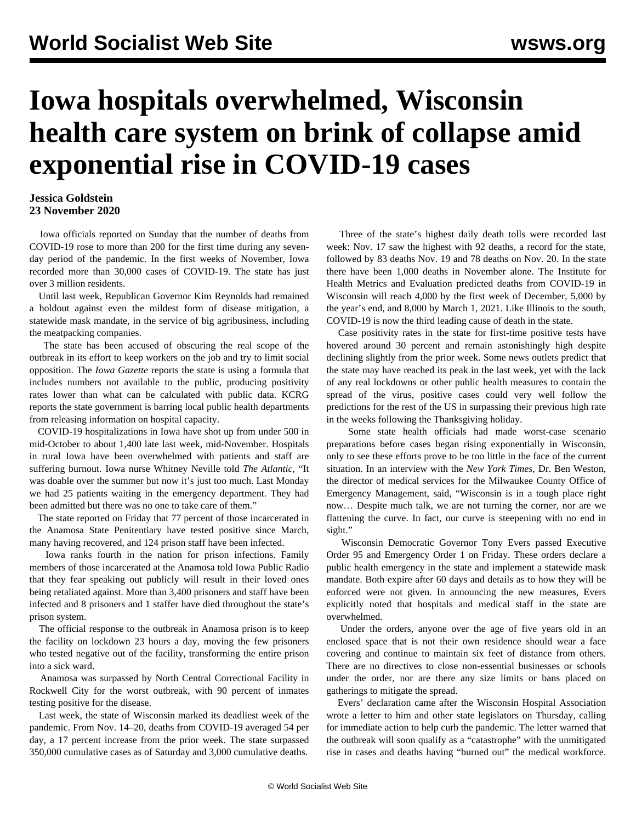## **Iowa hospitals overwhelmed, Wisconsin health care system on brink of collapse amid exponential rise in COVID-19 cases**

## **Jessica Goldstein 23 November 2020**

 Iowa officials reported on Sunday that the number of deaths from COVID-19 rose to more than 200 for the first time during any sevenday period of the pandemic. In the first weeks of November, Iowa recorded more than 30,000 cases of COVID-19. The state has just over 3 million residents.

 Until last week, Republican Governor Kim Reynolds had remained a holdout against even the mildest form of disease mitigation, a statewide mask mandate, in the service of big agribusiness, including the meatpacking companies.

 The state has been accused of obscuring the real scope of the outbreak in its effort to keep workers on the job and try to limit social opposition. The *Iowa Gazette* reports the state is using a formula that includes numbers not available to the public, producing positivity rates lower than what can be calculated with public data. KCRG reports the state government is barring local public health departments from releasing information on hospital capacity.

 COVID-19 hospitalizations in Iowa have shot up from under 500 in mid-October to about 1,400 late last week, mid-November. Hospitals in rural Iowa have been overwhelmed with patients and staff are suffering burnout. Iowa nurse Whitney Neville told *The Atlantic*, "It was doable over the summer but now it's just too much. Last Monday we had 25 patients waiting in the emergency department. They had been admitted but there was no one to take care of them."

 The state reported on Friday that 77 percent of those incarcerated in the Anamosa State Penitentiary have tested positive since March, many having recovered, and 124 prison staff have been infected.

 Iowa ranks fourth in the nation for prison infections. Family members of those incarcerated at the Anamosa told Iowa Public Radio that they fear speaking out publicly will result in their loved ones being retaliated against. More than 3,400 prisoners and staff have been infected and 8 prisoners and 1 staffer have died throughout the state's prison system.

 The official response to the outbreak in Anamosa prison is to keep the facility on lockdown 23 hours a day, moving the few prisoners who tested negative out of the facility, transforming the entire prison into a sick ward.

 Anamosa was surpassed by North Central Correctional Facility in Rockwell City for the worst outbreak, with 90 percent of inmates testing positive for the disease.

 Last week, the state of Wisconsin marked its deadliest week of the pandemic. From Nov. 14–20, deaths from COVID-19 averaged 54 per day, a 17 percent increase from the prior week. The state surpassed 350,000 cumulative cases as of Saturday and 3,000 cumulative deaths.

 Three of the state's highest daily death tolls were recorded last week: Nov. 17 saw the highest with 92 deaths, a record for the state, followed by 83 deaths Nov. 19 and 78 deaths on Nov. 20. In the state there have been 1,000 deaths in November alone. The Institute for Health Metrics and Evaluation predicted deaths from COVID-19 in Wisconsin will reach 4,000 by the first week of December, 5,000 by the year's end, and 8,000 by March 1, 2021. Like Illinois to the south, COVID-19 is now the third leading cause of death in the state.

 Case positivity rates in the state for first-time positive tests have hovered around 30 percent and remain astonishingly high despite declining slightly from the prior week. Some news outlets predict that the state may have reached its peak in the last week, yet with the lack of any real lockdowns or other public health measures to contain the spread of the virus, positive cases could very well follow the predictions for the rest of the US in surpassing their previous high rate in the weeks following the Thanksgiving holiday.

 Some state health officials had made worst-case scenario preparations before cases began rising exponentially in Wisconsin, only to see these efforts prove to be too little in the face of the current situation. In an interview with the *New York Times*, Dr. Ben Weston, the director of medical services for the Milwaukee County Office of Emergency Management, said, "Wisconsin is in a tough place right now… Despite much talk, we are not turning the corner, nor are we flattening the curve. In fact, our curve is steepening with no end in sight."

 Wisconsin Democratic Governor Tony Evers passed Executive Order 95 and Emergency Order 1 on Friday. These orders declare a public health emergency in the state and implement a statewide mask mandate. Both expire after 60 days and details as to how they will be enforced were not given. In announcing the new measures, Evers explicitly noted that hospitals and medical staff in the state are overwhelmed.

 Under the orders, anyone over the age of five years old in an enclosed space that is not their own residence should wear a face covering and continue to maintain six feet of distance from others. There are no directives to close non-essential businesses or schools under the order, nor are there any size limits or bans placed on gatherings to mitigate the spread.

 Evers' declaration came after the Wisconsin Hospital Association wrote a letter to him and other state legislators on Thursday, calling for immediate action to help curb the pandemic. The letter warned that the outbreak will soon qualify as a "catastrophe" with the unmitigated rise in cases and deaths having "burned out" the medical workforce.